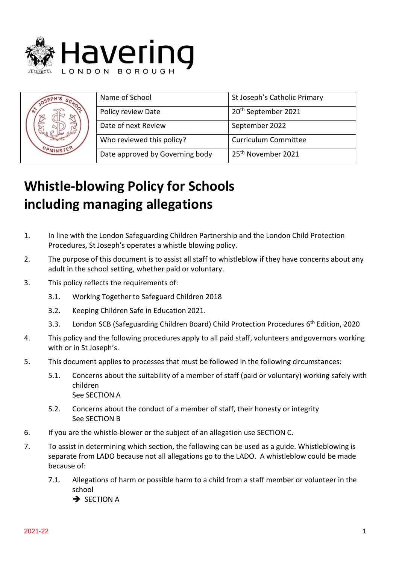

| OSE <sub>F</sub><br>$s_{C_{\mathcal{N}}}$ | Name of School                  | St Joseph's Catholic Primary    |
|-------------------------------------------|---------------------------------|---------------------------------|
|                                           | Policy review Date              | 20 <sup>th</sup> September 2021 |
|                                           | Date of next Review             | September 2022                  |
|                                           | Who reviewed this policy?       | <b>Curriculum Committee</b>     |
|                                           | Date approved by Governing body | 25 <sup>th</sup> November 2021  |

# **Whistle-blowing Policy for Schools including managing allegations**

- 1. In line with the London Safeguarding Children Partnership and the London Child Protection Procedures, St Joseph's operates a whistle blowing policy.
- 2. The purpose of this document is to assist all staff to whistleblow if they have concerns about any adult in the school setting, whether paid or voluntary.
- 3. This policy reflects the requirements of:
	- 3.1. Working Togetherto Safeguard Children 2018
	- 3.2. Keeping Children Safe in Education 2021.
	- 3.3. London SCB (Safeguarding Children Board) Child Protection Procedures 6<sup>th</sup> Edition, 2020
- 4. This policy and the following procedures apply to all paid staff, volunteers andgovernors working with or in St Joseph's.
- 5. This document applies to processes that must be followed in the following circumstances:
	- 5.1. Concerns about the suitability of a member of staff (paid or voluntary) working safely with children See SECTION A
	- 5.2. Concerns about the conduct of a member of staff, their honesty or integrity See SECTION B
- 6. If you are the whistle-blower or the subject of an allegation use SECTION C.
- 7. To assist in determining which section, the following can be used as a guide. Whistleblowing is separate from LADO because not all allegations go to the LADO. A whistleblow could be made because of:
	- 7.1. Allegations of harm or possible harm to a child from a staff member or volunteer in the school **→ SECTION A**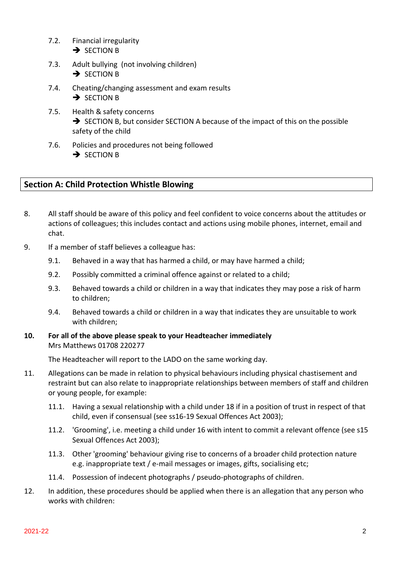- 7.2. Financial irregularity **→ SECTION B**
- 7.3. Adult bullying (not involving children) **→ SECTION B**
- 7.4. Cheating/changing assessment and exam results **→ SECTION B**
- 7.5. Health & safety concerns ➔ SECTION B, but consider SECTION A because of the impact of this on the possible safety of the child
- 7.6. Policies and procedures not being followed **→ SECTION B**

# **Section A: Child Protection Whistle Blowing**

- 8. All staff should be aware of this policy and feel confident to voice concerns about the attitudes or actions of colleagues; this includes contact and actions using mobile phones, internet, email and chat.
- 9. If a member of staff believes a colleague has:
	- 9.1. Behaved in a way that has harmed a child, or may have harmed a child;
	- 9.2. Possibly committed a criminal offence against or related to a child;
	- 9.3. Behaved towards a child or children in a way that indicates they may pose a risk of harm to children;
	- 9.4. Behaved towards a child or children in a way that indicates they are unsuitable to work with children;

# **10. For all of the above please speak to your Headteacher immediately**  Mrs Matthews 01708 220277

The Headteacher will report to the LADO on the same working day.

- 11. Allegations can be made in relation to physical behaviours including physical chastisement and restraint but can also relate to inappropriate relationships between members of staff and children or young people, for example:
	- 11.1. Having a sexual relationship with a child under 18 if in a position of trust in respect of that child, even if consensual (see ss16-19 Sexual Offences Act 2003);
	- 11.2. 'Grooming', i.e. meeting a child under 16 with intent to commit a relevant offence (see s15 Sexual Offences Act 2003);
	- 11.3. Other 'grooming' behaviour giving rise to concerns of a broader child protection nature e.g. inappropriate text / e-mail messages or images, gifts, socialising etc;
	- 11.4. Possession of indecent photographs / pseudo-photographs of children.
- 12. In addition, these procedures should be applied when there is an allegation that any person who works with children: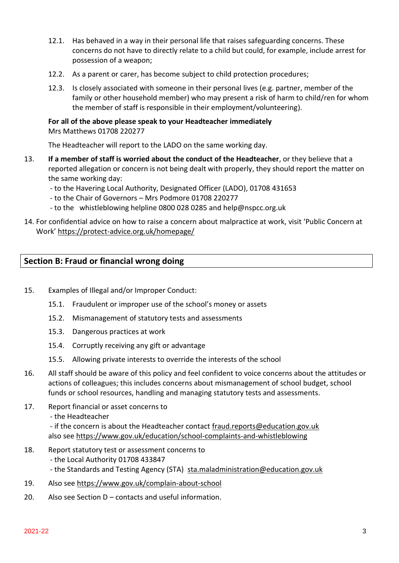- 12.1. Has behaved in a way in their personal life that raises safeguarding concerns. These concerns do not have to directly relate to a child but could, for example, include arrest for possession of a weapon;
- 12.2. As a parent or carer, has become subject to child protection procedures;
- 12.3. Is closely associated with someone in their personal lives (e.g. partner, member of the family or other household member) who may present a risk of harm to child/ren for whom the member of staff is responsible in their employment/volunteering).

# **For all of the above please speak to your Headteacher immediately**

Mrs Matthews 01708 220277

The Headteacher will report to the LADO on the same working day.

- 13. **If a member of staff is worried about the conduct of the Headteacher**, or they believe that a reported allegation or concern is not being dealt with properly, they should report the matter on the same working day:
	- to the Havering Local Authority, Designated Officer (LADO), 01708 431653
	- to the Chair of Governors Mrs Podmore 01708 220277
	- to the whistleblowing helpline 0800 028 0285 and help@nspcc.org.uk
- 14. For confidential advice on how to raise a concern about malpractice at work, visit 'Public Concern at Work' <https://protect-advice.org.uk/homepage/>

# **Section B: Fraud or financial wrong doing**

- 15. Examples of Illegal and/or Improper Conduct:
	- 15.1. Fraudulent or improper use of the school's money or assets
	- 15.2. Mismanagement of statutory tests and assessments
	- 15.3. Dangerous practices at work
	- 15.4. Corruptly receiving any gift or advantage
	- 15.5. Allowing private interests to override the interests of the school
- 16. All staff should be aware of this policy and feel confident to voice concerns about the attitudes or actions of colleagues; this includes concerns about mismanagement of school budget, school funds or school resources, handling and managing statutory tests and assessments.
- 17. Report financial or asset concerns to
	- the Headteacher

- if the concern is about the Headteacher contact [fraud.reports@education.gov.uk](mailto:fraud.reports@education.gov.uk) also see<https://www.gov.uk/education/school-complaints-and-whistleblowing>

- 18. Report statutory test or assessment concerns to
	- the Local Authority 01708 433847
	- the Standards and Testing Agency (STA) [sta.maladministration@education.gov.uk](mailto:sta.maladministration@education.gov.uk)
- 19. Also see<https://www.gov.uk/complain-about-school>
- 20. Also see Section D contacts and useful information.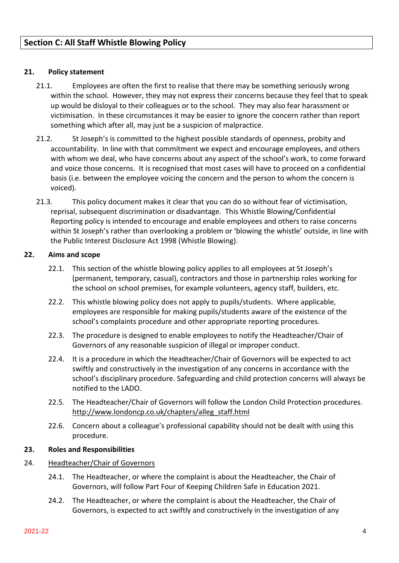#### **21. Policy statement**

- 21.1. Employees are often the first to realise that there may be something seriously wrong within the school. However, they may not express their concerns because they feel that to speak up would be disloyal to their colleagues or to the school. They may also fear harassment or victimisation. In these circumstances it may be easier to ignore the concern rather than report something which after all, may just be a suspicion of malpractice.
- 21.2. St Joseph's is committed to the highest possible standards of openness, probity and accountability. In line with that commitment we expect and encourage employees, and others with whom we deal, who have concerns about any aspect of the school's work, to come forward and voice those concerns. It is recognised that most cases will have to proceed on a confidential basis (i.e. between the employee voicing the concern and the person to whom the concern is voiced).
- 21.3. This policy document makes it clear that you can do so without fear of victimisation, reprisal, subsequent discrimination or disadvantage. This Whistle Blowing/Confidential Reporting policy is intended to encourage and enable employees and others to raise concerns within St Joseph's rather than overlooking a problem or 'blowing the whistle' outside, in line with the Public Interest Disclosure Act 1998 (Whistle Blowing).

#### **22. Aims and scope**

- 22.1. This section of the whistle blowing policy applies to all employees at St Joseph's (permanent, temporary, casual), contractors and those in partnership roles working for the school on school premises, for example volunteers, agency staff, builders, etc.
- 22.2. This whistle blowing policy does not apply to pupils/students. Where applicable, employees are responsible for making pupils/students aware of the existence of the school's complaints procedure and other appropriate reporting procedures.
- 22.3. The procedure is designed to enable employees to notify the Headteacher/Chair of Governors of any reasonable suspicion of illegal or improper conduct.
- 22.4. It is a procedure in which the Headteacher/Chair of Governors will be expected to act swiftly and constructively in the investigation of any concerns in accordance with the school's disciplinary procedure. Safeguarding and child protection concerns will always be notified to the LADO.
- 22.5. The Headteacher/Chair of Governors will follow the London Child Protection procedures. [http://www.londoncp.co.uk/chapters/alleg\\_staff.html](http://www.londoncp.co.uk/chapters/alleg_staff.html)
- 22.6. Concern about a colleague's professional capability should not be dealt with using this procedure.

#### **23. Roles and Responsibilities**

#### 24. Headteacher/Chair of Governors

- 24.1. The Headteacher, or where the complaint is about the Headteacher, the Chair of Governors, will follow Part Four of Keeping Children Safe in Education 2021.
- 24.2. The Headteacher, or where the complaint is about the Headteacher, the Chair of Governors, is expected to act swiftly and constructively in the investigation of any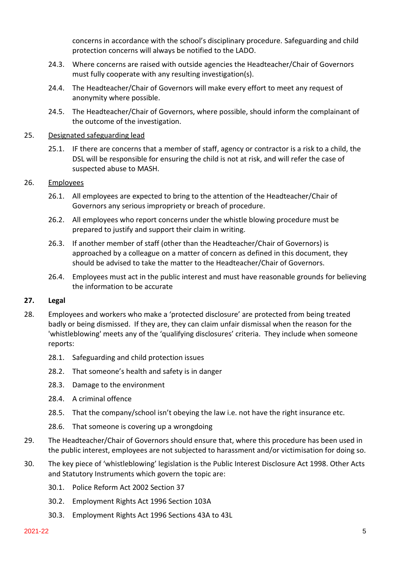concerns in accordance with the school's disciplinary procedure. Safeguarding and child protection concerns will always be notified to the LADO.

- 24.3. Where concerns are raised with outside agencies the Headteacher/Chair of Governors must fully cooperate with any resulting investigation(s).
- 24.4. The Headteacher/Chair of Governors will make every effort to meet any request of anonymity where possible.
- 24.5. The Headteacher/Chair of Governors, where possible, should inform the complainant of the outcome of the investigation.

#### 25. Designated safeguarding lead

25.1. IF there are concerns that a member of staff, agency or contractor is a risk to a child, the DSL will be responsible for ensuring the child is not at risk, and will refer the case of suspected abuse to MASH.

#### 26. Employees

- 26.1. All employees are expected to bring to the attention of the Headteacher/Chair of Governors any serious impropriety or breach of procedure.
- 26.2. All employees who report concerns under the whistle blowing procedure must be prepared to justify and support their claim in writing.
- 26.3. If another member of staff (other than the Headteacher/Chair of Governors) is approached by a colleague on a matter of concern as defined in this document, they should be advised to take the matter to the Headteacher/Chair of Governors.
- 26.4. Employees must act in the public interest and must have reasonable grounds for believing the information to be accurate

#### **27. Legal**

- 28. Employees and workers who make a 'protected disclosure' are protected from being treated badly or being dismissed. If they are, they can claim unfair dismissal when the reason for the 'whistleblowing' meets any of the 'qualifying disclosures' criteria. They include when someone reports:
	- 28.1. Safeguarding and child protection issues
	- 28.2. That someone's health and safety is in danger
	- 28.3. Damage to the environment
	- 28.4. A criminal offence
	- 28.5. That the company/school isn't obeying the law i.e. not have the right insurance etc.
	- 28.6. That someone is covering up a wrongdoing
- 29. The Headteacher/Chair of Governors should ensure that, where this procedure has been used in the public interest, employees are not subjected to harassment and/or victimisation for doing so.
- 30. The key piece of 'whistleblowing' legislation is the Public Interest Disclosure Act 1998. Other Acts and Statutory Instruments which govern the topic are:
	- 30.1. Police Reform Act 2002 Section 37
	- 30.2. Employment Rights Act 1996 Section 103A
	- 30.3. Employment Rights Act 1996 Sections 43A to 43L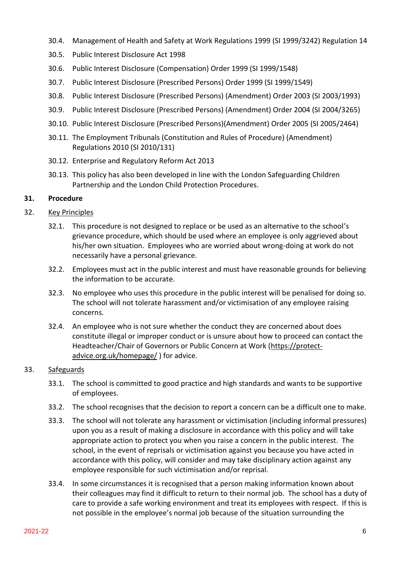- 30.4. Management of Health and Safety at Work Regulations 1999 (SI 1999/3242) Regulation 14
- 30.5. Public Interest Disclosure Act 1998
- 30.6. Public Interest Disclosure (Compensation) Order 1999 (SI 1999/1548)
- 30.7. Public Interest Disclosure (Prescribed Persons) Order 1999 (SI 1999/1549)
- 30.8. Public Interest Disclosure (Prescribed Persons) (Amendment) Order 2003 (SI 2003/1993)
- 30.9. Public Interest Disclosure (Prescribed Persons) (Amendment) Order 2004 (SI 2004/3265)
- 30.10. Public Interest Disclosure (Prescribed Persons)(Amendment) Order 2005 (SI 2005/2464)
- 30.11. The Employment Tribunals (Constitution and Rules of Procedure) (Amendment) Regulations 2010 (SI 2010/131)
- 30.12. Enterprise and Regulatory Reform Act 2013
- 30.13. This policy has also been developed in line with the London Safeguarding Children Partnership and the London Child Protection Procedures.

#### **31. Procedure**

#### 32. Key Principles

- 32.1. This procedure is not designed to replace or be used as an alternative to the school's grievance procedure, which should be used where an employee is only aggrieved about his/her own situation. Employees who are worried about wrong-doing at work do not necessarily have a personal grievance.
- 32.2. Employees must act in the public interest and must have reasonable grounds for believing the information to be accurate.
- 32.3. No employee who uses this procedure in the public interest will be penalised for doing so. The school will not tolerate harassment and/or victimisation of any employee raising concerns.
- 32.4. An employee who is not sure whether the conduct they are concerned about does constitute illegal or improper conduct or is unsure about how to proceed can contact the Headteacher/Chair of Governors or Public Concern at Work [\(https://protect](https://protect-advice.org.uk/homepage/)[advice.org.uk/homepage/](https://protect-advice.org.uk/homepage/) ) for advice.

#### 33. Safeguards

- 33.1. The school is committed to good practice and high standards and wants to be supportive of employees.
- 33.2. The school recognises that the decision to report a concern can be a difficult one to make.
- 33.3. The school will not tolerate any harassment or victimisation (including informal pressures) upon you as a result of making a disclosure in accordance with this policy and will take appropriate action to protect you when you raise a concern in the public interest. The school, in the event of reprisals or victimisation against you because you have acted in accordance with this policy, will consider and may take disciplinary action against any employee responsible for such victimisation and/or reprisal.
- 33.4. In some circumstances it is recognised that a person making information known about their colleagues may find it difficult to return to their normal job. The school has a duty of care to provide a safe working environment and treat its employees with respect. If this is not possible in the employee's normal job because of the situation surrounding the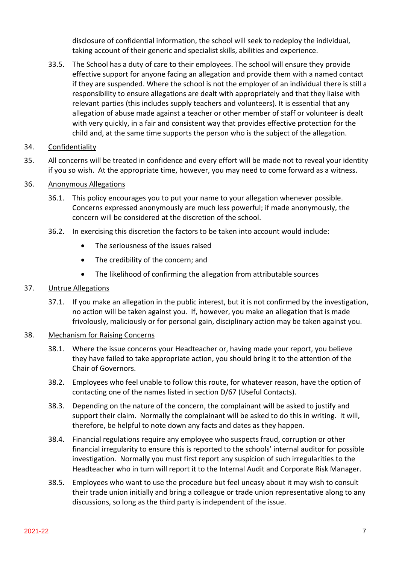disclosure of confidential information, the school will seek to redeploy the individual, taking account of their generic and specialist skills, abilities and experience.

33.5. The School has a duty of care to their employees. The school will ensure they provide effective support for anyone facing an allegation and provide them with a named contact if they are suspended. Where the school is not the employer of an individual there is still a responsibility to ensure allegations are dealt with appropriately and that they liaise with relevant parties (this includes supply teachers and volunteers). It is essential that any allegation of abuse made against a teacher or other member of staff or volunteer is dealt with very quickly, in a fair and consistent way that provides effective protection for the child and, at the same time supports the person who is the subject of the allegation.

#### 34. Confidentiality

35. All concerns will be treated in confidence and every effort will be made not to reveal your identity if you so wish. At the appropriate time, however, you may need to come forward as a witness.

#### 36. Anonymous Allegations

- 36.1. This policy encourages you to put your name to your allegation whenever possible. Concerns expressed anonymously are much less powerful; if made anonymously, the concern will be considered at the discretion of the school.
- 36.2. In exercising this discretion the factors to be taken into account would include:
	- The seriousness of the issues raised
	- The credibility of the concern; and
	- The likelihood of confirming the allegation from attributable sources

#### 37. Untrue Allegations

37.1. If you make an allegation in the public interest, but it is not confirmed by the investigation, no action will be taken against you. If, however, you make an allegation that is made frivolously, maliciously or for personal gain, disciplinary action may be taken against you.

#### 38. Mechanism for Raising Concerns

- 38.1. Where the issue concerns your Headteacher or, having made your report, you believe they have failed to take appropriate action, you should bring it to the attention of the Chair of Governors.
- 38.2. Employees who feel unable to follow this route, for whatever reason, have the option of contacting one of the names listed in section D/67 (Useful Contacts).
- 38.3. Depending on the nature of the concern, the complainant will be asked to justify and support their claim. Normally the complainant will be asked to do this in writing. It will, therefore, be helpful to note down any facts and dates as they happen.
- 38.4. Financial regulations require any employee who suspects fraud, corruption or other financial irregularity to ensure this is reported to the schools' internal auditor for possible investigation. Normally you must first report any suspicion of such irregularities to the Headteacher who in turn will report it to the Internal Audit and Corporate Risk Manager.
- 38.5. Employees who want to use the procedure but feel uneasy about it may wish to consult their trade union initially and bring a colleague or trade union representative along to any discussions, so long as the third party is independent of the issue.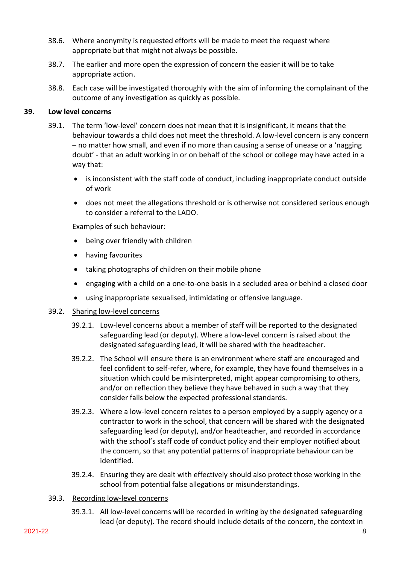- 38.6. Where anonymity is requested efforts will be made to meet the request where appropriate but that might not always be possible.
- 38.7. The earlier and more open the expression of concern the easier it will be to take appropriate action.
- 38.8. Each case will be investigated thoroughly with the aim of informing the complainant of the outcome of any investigation as quickly as possible.

#### **39. Low level concerns**

- 39.1. The term 'low-level' concern does not mean that it is insignificant, it means that the behaviour towards a child does not meet the threshold. A low-level concern is any concern – no matter how small, and even if no more than causing a sense of unease or a 'nagging doubt' - that an adult working in or on behalf of the school or college may have acted in a way that:
	- is inconsistent with the staff code of conduct, including inappropriate conduct outside of work
	- does not meet the allegations threshold or is otherwise not considered serious enough to consider a referral to the LADO.

Examples of such behaviour:

- being over friendly with children
- having favourites
- taking photographs of children on their mobile phone
- engaging with a child on a one-to-one basis in a secluded area or behind a closed door
- using inappropriate sexualised, intimidating or offensive language.

# 39.2. Sharing low-level concerns

- 39.2.1. Low-level concerns about a member of staff will be reported to the designated safeguarding lead (or deputy). Where a low-level concern is raised about the designated safeguarding lead, it will be shared with the headteacher.
- 39.2.2. The School will ensure there is an environment where staff are encouraged and feel confident to self-refer, where, for example, they have found themselves in a situation which could be misinterpreted, might appear compromising to others, and/or on reflection they believe they have behaved in such a way that they consider falls below the expected professional standards.
- 39.2.3. Where a low-level concern relates to a person employed by a supply agency or a contractor to work in the school, that concern will be shared with the designated safeguarding lead (or deputy), and/or headteacher, and recorded in accordance with the school's staff code of conduct policy and their employer notified about the concern, so that any potential patterns of inappropriate behaviour can be identified.
- 39.2.4. Ensuring they are dealt with effectively should also protect those working in the school from potential false allegations or misunderstandings.
- 39.3. Recording low-level concerns
	- 39.3.1. All low-level concerns will be recorded in writing by the designated safeguarding lead (or deputy). The record should include details of the concern, the context in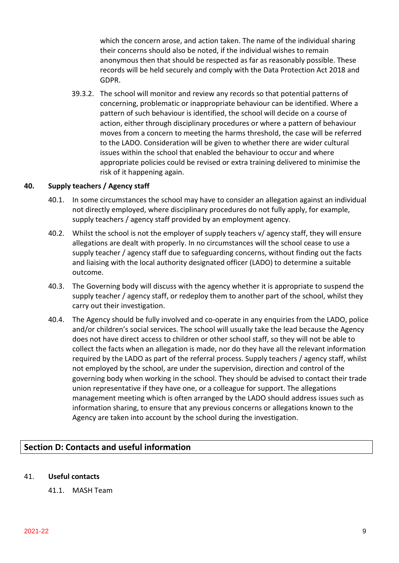which the concern arose, and action taken. The name of the individual sharing their concerns should also be noted, if the individual wishes to remain anonymous then that should be respected as far as reasonably possible. These records will be held securely and comply with the Data Protection Act 2018 and GDPR.

39.3.2. The school will monitor and review any records so that potential patterns of concerning, problematic or inappropriate behaviour can be identified. Where a pattern of such behaviour is identified, the school will decide on a course of action, either through disciplinary procedures or where a pattern of behaviour moves from a concern to meeting the harms threshold, the case will be referred to the LADO. Consideration will be given to whether there are wider cultural issues within the school that enabled the behaviour to occur and where appropriate policies could be revised or extra training delivered to minimise the risk of it happening again.

#### **40. Supply teachers / Agency staff**

- 40.1. In some circumstances the school may have to consider an allegation against an individual not directly employed, where disciplinary procedures do not fully apply, for example, supply teachers / agency staff provided by an employment agency.
- 40.2. Whilst the school is not the employer of supply teachers v/ agency staff, they will ensure allegations are dealt with properly. In no circumstances will the school cease to use a supply teacher / agency staff due to safeguarding concerns, without finding out the facts and liaising with the local authority designated officer (LADO) to determine a suitable outcome.
- 40.3. The Governing body will discuss with the agency whether it is appropriate to suspend the supply teacher / agency staff, or redeploy them to another part of the school, whilst they carry out their investigation.
- 40.4. The Agency should be fully involved and co-operate in any enquiries from the LADO, police and/or children's social services. The school will usually take the lead because the Agency does not have direct access to children or other school staff, so they will not be able to collect the facts when an allegation is made, nor do they have all the relevant information required by the LADO as part of the referral process. Supply teachers / agency staff, whilst not employed by the school, are under the supervision, direction and control of the governing body when working in the school. They should be advised to contact their trade union representative if they have one, or a colleague for support. The allegations management meeting which is often arranged by the LADO should address issues such as information sharing, to ensure that any previous concerns or allegations known to the Agency are taken into account by the school during the investigation.

# **Section D: Contacts and useful information**

#### 41. **Useful contacts**

41.1. MASH Team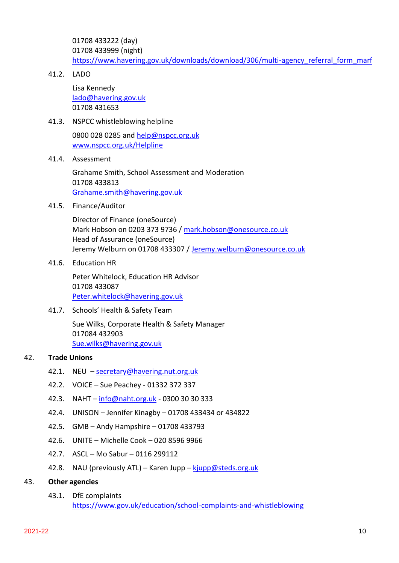01708 433222 (day) 01708 433999 (night) [https://www.havering.gov.uk/downloads/download/306/multi-agency\\_referral\\_form\\_marf](https://www.havering.gov.uk/downloads/download/306/multi-agency_referral_form_marf)

41.2. LADO

Lisa Kennedy [lado@havering.gov.uk](mailto:lado@havering.gov.uk) 01708 431653

41.3. NSPCC whistleblowing helpline

0800 028 0285 and [help@nspcc.org.uk](mailto:help@nspcc.org.uk) [www.nspcc.org.uk/Helpline](http://www.nspcc.org.uk/Helpline)

41.4. Assessment

Grahame Smith, School Assessment and Moderation 01708 433813 [Grahame.smith@havering.gov.uk](mailto:Grahame.smith@havering.gov.uk)

41.5. Finance/Auditor

Director of Finance (oneSource) Mark Hobson on 0203 373 9736 / [mark.hobson@onesource.co.uk](mailto:mark.hobson@onesource.co.uk) Head of Assurance (oneSource) Jeremy Welburn on 01708 433307 / [Jeremy.welburn@onesource.co.uk](mailto:Jeremy.welburn@onesource.co.uk)

41.6. Education HR

Peter Whitelock, Education HR Advisor 01708 433087 [Peter.whitelock@havering.gov.uk](mailto:Peter.whitelock@havering.gov.uk)

41.7. Schools' Health & Safety Team

Sue Wilks, Corporate Health & Safety Manager 017084 432903 [Sue.wilks@havering.gov.uk](mailto:Sue.wilks@havering.gov.uk)

#### 42. **Trade Unions**

- 42.1. NEU [secretary@havering.nut.org.uk](mailto:secretary@havering.nut.org.uk)
- 42.2. VOICE Sue Peachey 01332 372 337
- 42.3. NAHT [info@naht.org.uk](mailto:info@naht.org.uk) 0300 30 30 333
- 42.4. UNISON Jennifer Kinagby 01708 433434 or 434822
- 42.5. GMB Andy Hampshire 01708 433793
- 42.6. UNITE Michelle Cook 020 8596 9966
- 42.7. ASCL Mo Sabur 0116 299112
- 42.8. NAU (previously ATL) Karen Jupp [kjupp@steds.org.uk](mailto:kjupp@steds.org.uk)
- 43. **Other agencies**
	- 43.1. DfE complaints <https://www.gov.uk/education/school-complaints-and-whistleblowing>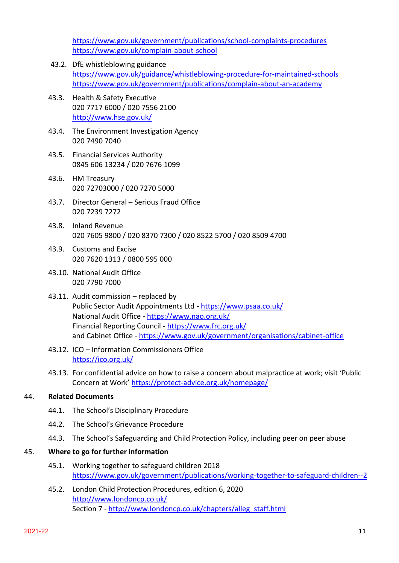<https://www.gov.uk/government/publications/school-complaints-procedures> <https://www.gov.uk/complain-about-school>

- 43.2. DfE whistleblowing guidance <https://www.gov.uk/guidance/whistleblowing-procedure-for-maintained-schools> <https://www.gov.uk/government/publications/complain-about-an-academy>
- 43.3. Health & Safety Executive 020 7717 6000 / 020 7556 2100 <http://www.hse.gov.uk/>
- 43.4. The Environment Investigation Agency 020 7490 7040
- 43.5. Financial Services Authority 0845 606 13234 / 020 7676 1099
- 43.6. HM Treasury 020 72703000 / 020 7270 5000
- 43.7. Director General Serious Fraud Office 020 7239 7272
- 43.8. Inland Revenue 020 7605 9800 / 020 8370 7300 / 020 8522 5700 / 020 8509 4700
- 43.9. Customs and Excise 020 7620 1313 / 0800 595 000
- 43.10. National Audit Office 020 7790 7000
- 43.11. Audit commission replaced by Public Sector Audit Appointments Ltd - <https://www.psaa.co.uk/> National Audit Office - <https://www.nao.org.uk/> Financial Reporting Council - <https://www.frc.org.uk/> and Cabinet Office - <https://www.gov.uk/government/organisations/cabinet-office>
- 43.12. ICO Information Commissioners Office <https://ico.org.uk/>
- 43.13. For confidential advice on how to raise a concern about malpractice at work; visit 'Public Concern at Work' <https://protect-advice.org.uk/homepage/>

# 44. **Related Documents**

- 44.1. The School's Disciplinary Procedure
- 44.2. The School's Grievance Procedure
- 44.3. The School's Safeguarding and Child Protection Policy, including peer on peer abuse

# 45. **Where to go for further information**

- 45.1. Working together to safeguard children 2018 <https://www.gov.uk/government/publications/working-together-to-safeguard-children--2>
- 45.2. London Child Protection Procedures, edition 6, 2020 <http://www.londoncp.co.uk/> Section 7 - [http://www.londoncp.co.uk/chapters/alleg\\_staff.html](http://www.londoncp.co.uk/chapters/alleg_staff.html)